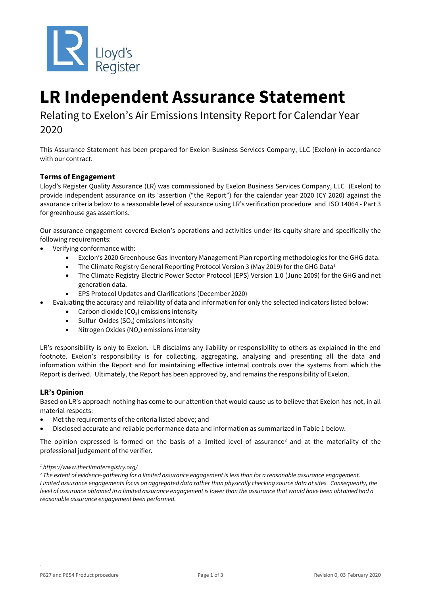

# **LR Independent Assurance Statement**

Relating to Exelon's Air Emissions Intensity Report for Calendar Year 2020

This Assurance Statement has been prepared for Exelon Business Services Company, LLC (Exelon) in accordance with our contract.

## **Terms of Engagement**

Lloyd's Register Quality Assurance (LR) was commissioned by Exelon Business Services Company, LLC (Exelon) to provide independent assurance on its 'assertion ("the Report") for the calendar year 2020 (CY 2020) against the assurance criteria below to a reasonable level of assurance using LR's verification procedure and ISO 14064 - Part 3 for greenhouse gas assertions.

Our assurance engagement covered Exelon's operations and activities under its equity share and specifically the following requirements:

- Verifying conformance with:
	- Exelon's 2020 Greenhouse Gas Inventory Management Plan reporting methodologies for the GHG data.
	- The Climate Registry General Reporting Protocol Version 3 (May 2019) for the GHG Data<sup>1</sup>
	- The Climate Registry Electric Power Sector Protocol (EPS) Version 1.0 (June 2009) for the GHG and net generation data.
	- EPS Protocol Updates and Clarifications (December 2020)
- Evaluating the accuracy and reliability of data and information for only the selected indicators listed below:
	- Carbon dioxide  $(CO<sub>2</sub>)$  emissions intensity
	- Sulfur Oxides ( $SO_x$ ) emissions intensity
	- Nitrogen Oxides ( $NO_x$ ) emissions intensity

LR's responsibility is only to Exelon. LR disclaims any liability or responsibility to others as explained in the end footnote. Exelon's responsibility is for collecting, aggregating, analysing and presenting all the data and information within the Report and for maintaining effective internal controls over the systems from which the Report is derived. Ultimately, the Report has been approved by, and remains the responsibility of Exelon.

### **LR's Opinion**

Based on LR's approach nothing has come to our attention that would cause us to believe that Exelon has not, in all material respects:

- Met the requirements of the criteria listed above; and
- Disclosed accurate and reliable performance data and information as summarized in Table 1 below.

The opinion expressed is formed on the basis of a limited level of assurance<sup>2</sup> and at the materiality of the professional judgement of the verifier.

.

*<sup>1</sup> https://www.theclimateregistry.org/*

*<sup>2</sup> The extent of evidence-gathering for a limited assurance engagement is less than for a reasonable assurance engagement. Limited assurance engagements focus on aggregated data rather than physically checking source data at sites. Consequently, the level of assurance obtained in a limited assurance engagement is lower than the assurance that would have been obtained had a reasonable assurance engagement been performed.*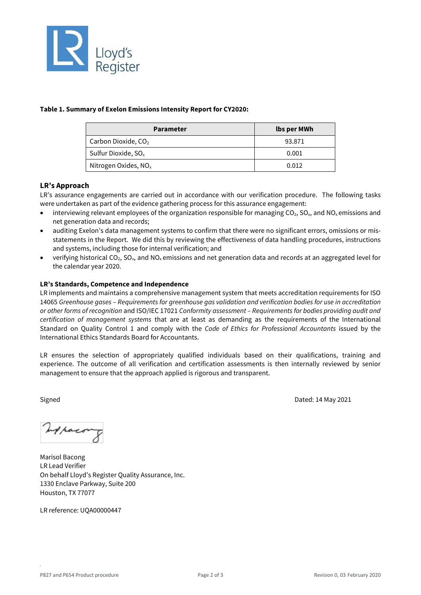

#### **Table 1. Summary of Exelon Emissions Intensity Report for CY2020:**

| <b>Parameter</b>                 | lbs per MWh |
|----------------------------------|-------------|
| Carbon Dioxide, CO <sub>2</sub>  | 93.871      |
| Sulfur Dioxide, $SO_{x}$         | 0.001       |
| Nitrogen Oxides, NO <sub>x</sub> | 0.012       |

### **LR's Approach**

LR's assurance engagements are carried out in accordance with our verification procedure. The following tasks were undertaken as part of the evidence gathering process for this assurance engagement:

- interviewing relevant employees of the organization responsible for managing  $CO<sub>2</sub>$ ,  $SO<sub>x</sub>$ , and  $NO<sub>x</sub>$  emissions and net generation data and records;
- auditing Exelon's data management systems to confirm that there were no significant errors, omissions or misstatements in the Report. We did this by reviewing the effectiveness of data handling procedures, instructions and systems, including those for internal verification; and
- verifying historical CO<sub>2</sub>, SO<sub>x</sub>, and NO<sub>x</sub> emissions and net generation data and records at an aggregated level for the calendar year 2020.

#### **LR's Standards, Competence and Independence**

LR implements and maintains a comprehensive management system that meets accreditation requirements for ISO 14065 *Greenhouse gases – Requirements for greenhouse gas validation and verification bodies for use in accreditation or other forms of recognition* and ISO/IEC 17021 *Conformity assessment – Requirements for bodies providing audit and certification of management systems* that are at least as demanding as the requirements of the International Standard on Quality Control 1 and comply with the *Code of Ethics for Professional Accountants* issued by the International Ethics Standards Board for Accountants.

LR ensures the selection of appropriately qualified individuals based on their qualifications, training and experience. The outcome of all verification and certification assessments is then internally reviewed by senior management to ensure that the approach applied is rigorous and transparent.

Signed Dated: 14 May 2021

Whacong

Marisol Bacong LR Lead Verifier On behalf Lloyd's Register Quality Assurance, Inc. 1330 Enclave Parkway, Suite 200 Houston, TX 77077

LR reference: UQA00000447

.